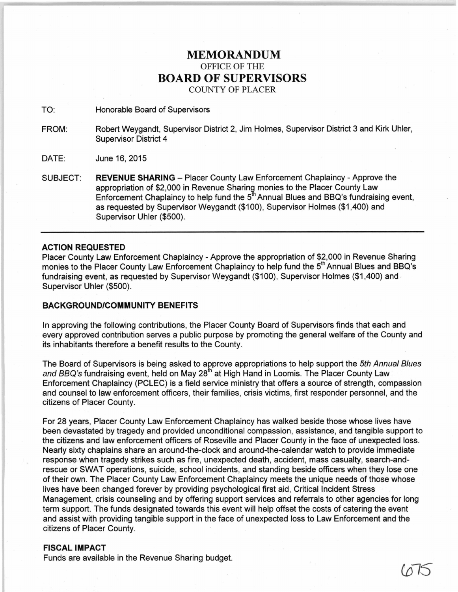## **MEMORANDUM**  OFFICE OF THE **BOARD OF SUPERVISORS**  COUNTY OF PLACER

TO: Honorable Board of Supervisors

- FROM: Robert Weygandt, Supervisor District 2, Jim Holmes, Supervisor District 3 and Kirk Uhler, Supervisor District 4
- DATE: June 16, 2015
- SUBJECT: **REVENUE SHARING** Placer County Law Enforcement Chaplaincy Approve the appropriation of \$2,000 in Revenue Sharing monies to the Placer County Law Enforcement Chaplaincy to help fund the  $5^{\text{th}}$  Annual Blues and BBQ's fundraising event, as requested by Supervisor Weygandt (\$1 00), Supervisor Holmes (\$1 ,400) and Supervisor Uhler (\$500).

## **ACTION REQUESTED**

Placer County Law Enforcement Chaplaincy- Approve the appropriation of \$2,000 in Revenue Sharing monies to the Placer County Law Enforcement Chaplaincy to help fund the 5<sup>th</sup> Annual Blues and BBQ's fundraising event, as requested by Supervisor Weygandt (\$100), Supervisor Holmes (\$1,400) and Supervisor Uhler (\$500).

## **BACKGROUND/COMMUNITY BENEFITS**

In approving the following contributions, the Placer County Board of Supervisors finds that each and every approved contribution serves a public purpose by promoting the general welfare of the County and its inhabitants therefore a benefit results to the County.

The Board of Supervisors is being asked to approve appropriations to help support the 5th Annual Blues and BBQ's fundraising event, held on May 28<sup>th</sup> at High Hand in Loomis. The Placer County Law Enforcement Chaplaincy (PCLEC) is a field service ministry that offers a source of strength, compassion and counsel to law enforcement officers, their families, crisis victims, first responder personnel, and the citizens of Placer County.

For 28 years, Placer County Law Enforcement Chaplaincy has walked beside those whose lives have been devastated by tragedy and provided unconditional compassion, assistance, and tangible support to the citizens and law enforcement officers of Roseville and Placer County in the face of unexpected loss. Nearly sixty chaplains share an around-the-clock and around-the-calendar watch to provide immediate response when tragedy strikes such as fire, unexpected death, accident, mass casualty, search-andrescue or SWAT operations, suicide, school incidents, and standing beside officers when they lose one of their own. The Placer County Law Enforcement Chaplaincy meets the unique needs of those whose lives have been changed forever by providing psychological first aid, Critical Incident Stress Management, crisis counseling and by offering support services and referrals to other agencies for long term support. The funds designated towards this event will help offset the costs of catering the event and assist with providing tangible support in the face of unexpected loss to Law Enforcement and the citizens of Placer County.

Co *IS* 

## **FISCAL IMPACT**

Funds are available in the Revenue Sharing budget.